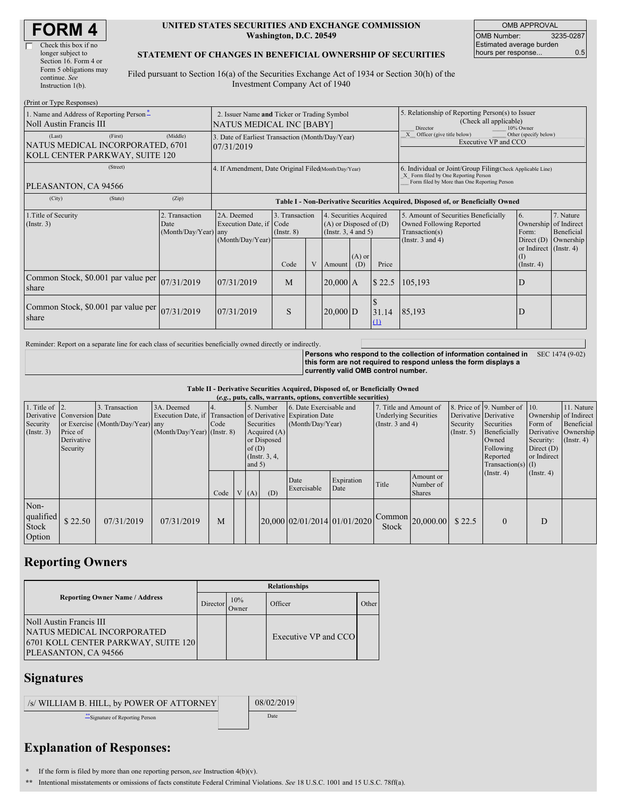| <b>FORM4</b> |  |
|--------------|--|
|--------------|--|

#### **UNITED STATES SECURITIES AND EXCHANGE COMMISSION Washington, D.C. 20549**

OMB APPROVAL OMB Number: 3235-0287 Estimated average burden hours per response... 0.5

#### **STATEMENT OF CHANGES IN BENEFICIAL OWNERSHIP OF SECURITIES**

Filed pursuant to Section 16(a) of the Securities Exchange Act of 1934 or Section 30(h) of the Investment Company Act of 1940

| (Print or Type Responses)                                                               |                                                                         |                                                                                  |                                   |              |                                                                                  |                                                                                                     |                   |                                                                                                                                                    |                                                                 |                         |
|-----------------------------------------------------------------------------------------|-------------------------------------------------------------------------|----------------------------------------------------------------------------------|-----------------------------------|--------------|----------------------------------------------------------------------------------|-----------------------------------------------------------------------------------------------------|-------------------|----------------------------------------------------------------------------------------------------------------------------------------------------|-----------------------------------------------------------------|-------------------------|
| 1. Name and Address of Reporting Person-<br>Noll Austin Francis III                     | 2. Issuer Name and Ticker or Trading Symbol<br>NATUS MEDICAL INC [BABY] |                                                                                  |                                   |              |                                                                                  | 5. Relationship of Reporting Person(s) to Issuer<br>(Check all applicable)<br>Director<br>10% Owner |                   |                                                                                                                                                    |                                                                 |                         |
| (First)<br>(Last)<br>NATUS MEDICAL INCORPORATED, 6701<br>KOLL CENTER PARKWAY, SUITE 120 | (Middle)                                                                | 3. Date of Earliest Transaction (Month/Day/Year)<br>07/31/2019                   |                                   |              |                                                                                  |                                                                                                     |                   | Officer (give title below)<br>Other (specify below)<br>Executive VP and CCO                                                                        |                                                                 |                         |
| (Street)<br>PLEASANTON, CA 94566                                                        |                                                                         | 4. If Amendment, Date Original Filed(Month/Day/Year)                             |                                   |              |                                                                                  |                                                                                                     |                   | 6. Individual or Joint/Group Filing Check Applicable Line)<br>X Form filed by One Reporting Person<br>Form filed by More than One Reporting Person |                                                                 |                         |
| (City)<br>(State)                                                                       | (Zip)                                                                   | Table I - Non-Derivative Securities Acquired, Disposed of, or Beneficially Owned |                                   |              |                                                                                  |                                                                                                     |                   |                                                                                                                                                    |                                                                 |                         |
| 1. Title of Security<br>(Insert. 3)                                                     | 2. Transaction<br>Date<br>(Month/Day/Year) any                          | 2A. Deemed<br>Execution Date, if Code                                            | 3. Transaction<br>$($ Instr. $8)$ |              | 4. Securities Acquired<br>$(A)$ or Disposed of $(D)$<br>(Instr. $3, 4$ and $5$ ) |                                                                                                     |                   | 5. Amount of Securities Beneficially<br>Owned Following Reported<br>Transaction(s)                                                                 | 6.<br>Ownership of Indirect<br>Form:                            | 7. Nature<br>Beneficial |
|                                                                                         |                                                                         | (Month/Day/Year)                                                                 | Code                              | $\mathbf{V}$ | Amount                                                                           | $(A)$ or<br>Price<br>(D)                                                                            |                   | (Instr. $3$ and $4$ )                                                                                                                              | Direct (D)<br>or Indirect (Instr. 4)<br>(1)<br>$($ Instr. 4 $)$ | Ownership               |
| Common Stock, \$0.001 par value per<br>share                                            | 07/31/2019                                                              | 07/31/2019                                                                       | M<br>\$22.5<br>$20,000$ A         |              | 105,193                                                                          | D                                                                                                   |                   |                                                                                                                                                    |                                                                 |                         |
| Common Stock, \$0.001 par value per<br>share                                            | 07/31/2019                                                              | 07/31/2019                                                                       | S                                 |              | $20,000$ D                                                                       |                                                                                                     | 31.14<br>$\Omega$ | 85,193                                                                                                                                             | D                                                               |                         |

Reminder: Report on a separate line for each class of securities beneficially owned directly or indirectly.

**Persons who respond to the collection of information contained in** SEC 1474 (9-02) **this form are not required to respond unless the form displays a currently valid OMB control number.**

**Table II - Derivative Securities Acquired, Disposed of, or Beneficially Owned**

| (e.g., puts, calls, warrants, options, convertible securities) |                            |                                  |                                                              |                  |  |          |                  |                              |                    |                              |                                         |               |                              |                  |                       |
|----------------------------------------------------------------|----------------------------|----------------------------------|--------------------------------------------------------------|------------------|--|----------|------------------|------------------------------|--------------------|------------------------------|-----------------------------------------|---------------|------------------------------|------------------|-----------------------|
| 1. Title of $\vert$ 2.                                         |                            | 3. Transaction                   | 3A. Deemed                                                   | $\overline{4}$ . |  |          | 5. Number        | 6. Date Exercisable and      |                    | 7. Title and Amount of       |                                         |               | 8. Price of 9. Number of 10. |                  | 11. Nature            |
|                                                                | Derivative Conversion Date |                                  | Execution Date, if Transaction of Derivative Expiration Date |                  |  |          |                  |                              |                    | <b>Underlying Securities</b> |                                         |               | Derivative Derivative        |                  | Ownership of Indirect |
| Security                                                       |                            | or Exercise (Month/Day/Year) any |                                                              | Code             |  |          | Securities       | (Month/Day/Year)             |                    | (Instr. $3$ and $4$ )        |                                         | Security      | Securities                   | Form of          | Beneficial            |
| (Insert. 3)                                                    | Price of                   |                                  | $(Month/Day/Year)$ (Instr. 8)                                |                  |  |          | Acquired $(A)$   |                              |                    |                              |                                         | $($ Instr. 5) | Beneficially                 |                  | Derivative Ownership  |
|                                                                | Derivative                 |                                  |                                                              |                  |  |          | or Disposed      |                              |                    |                              | Owned                                   | Security:     | $($ Instr. 4 $)$             |                  |                       |
|                                                                | Security                   |                                  |                                                              |                  |  | of $(D)$ |                  |                              |                    |                              |                                         | Following     | Direct $(D)$                 |                  |                       |
|                                                                |                            |                                  |                                                              |                  |  |          | (Instr. $3, 4$ , |                              |                    |                              |                                         |               | Reported                     | or Indirect      |                       |
|                                                                |                            |                                  |                                                              |                  |  | and $5)$ |                  |                              |                    |                              |                                         |               | $Transaction(s)$ (I)         |                  |                       |
|                                                                |                            |                                  |                                                              | Code             |  | V(A)     | (D)              | Date<br>Exercisable          | Expiration<br>Date | Title                        | Amount or<br>Number of<br><b>Shares</b> |               | $($ Instr. 4 $)$             | $($ Instr. 4 $)$ |                       |
| Non-<br>qualified<br>Stock<br>Option                           | \$22.50                    | 07/31/2019                       | 07/31/2019                                                   | M                |  |          |                  | 20.000 02/01/2014 01/01/2020 |                    | Stock                        | $\bigcap_{1}$ Common 20,000.00          | \$22.5        | $\Omega$                     | D                |                       |

## **Reporting Owners**

|                                                                                                                        | <b>Relationships</b> |              |                      |       |  |  |  |  |
|------------------------------------------------------------------------------------------------------------------------|----------------------|--------------|----------------------|-------|--|--|--|--|
| <b>Reporting Owner Name / Address</b>                                                                                  | Director             | 10%<br>Owner | Officer              | Other |  |  |  |  |
| Noll Austin Francis III<br>NATUS MEDICAL INCORPORATED<br>[6701 KOLL CENTER PARKWAY, SUITE 120]<br>PLEASANTON, CA 94566 |                      |              | Executive VP and CCO |       |  |  |  |  |

### **Signatures**

| /s/ WILLIAM B. HILL, by POWER OF ATTORNEY | 08/02/2019 |
|-------------------------------------------|------------|
| Signature of Reporting Person             | Date       |

# **Explanation of Responses:**

**\*** If the form is filed by more than one reporting person,*see* Instruction 4(b)(v).

**\*\*** Intentional misstatements or omissions of facts constitute Federal Criminal Violations. *See* 18 U.S.C. 1001 and 15 U.S.C. 78ff(a).